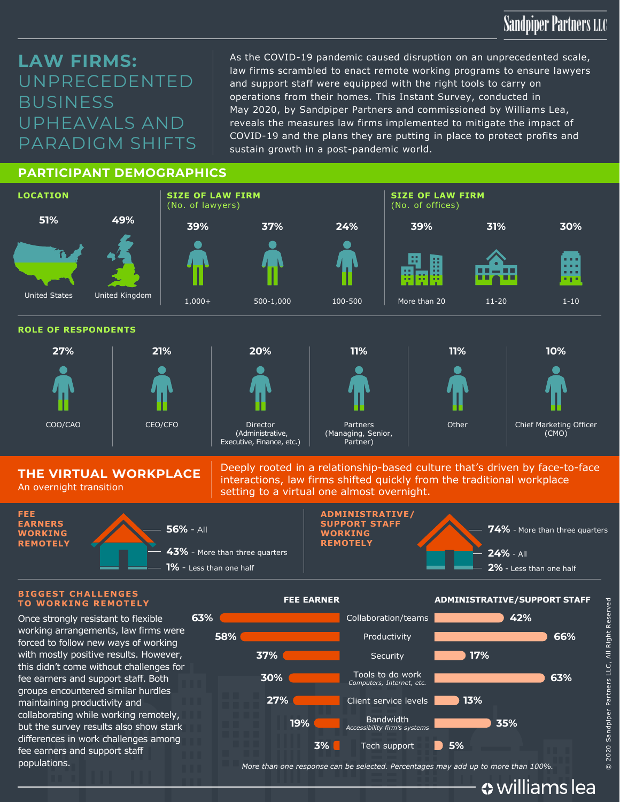## **Sandpiper Partners LLC**

## **LAW FIRMS:**  UNPRECEDENTED **BUSINESS** UPHEAVALS AND PARADIGM SHIFTS

As the COVID-19 pandemic caused disruption on an unprecedented scale, law firms scrambled to enact remote working programs to ensure lawyers and support staff were equipped with the right tools to carry on operations from their homes. This Instant Survey, conducted in May 2020, by Sandpiper Partners and commissioned by Williams Lea, reveals the measures law firms implemented to mitigate the impact of COVID-19 and the plans they are putting in place to protect profits and sustain growth in a post-pandemic world.

### **PARTICIPANT DEMOGRAPHICS**



**THE VIRTUAL WORKPLACE** An overnight transition

Deeply rooted in a relationship-based culture that's driven by face-to-face interactions, law firms shifted quickly from the traditional workplace setting to a virtual one almost overnight.



#### **BIGGEST CHALLENGES TO WORKING REMOTELY**

Once strongly resistant to flexible working arrangements, law firms were forced to follow new ways of working with mostly positive results. However, this didn't come without challenges for fee earners and support staff. Both groups encountered similar hurdles maintaining productivity and collaborating while working remotely, but the survey results also show stark differences in work challenges among fee earners and support staff



populations. *More than one response can be selected. Percentages may add up to more than 100%.*

« williams lea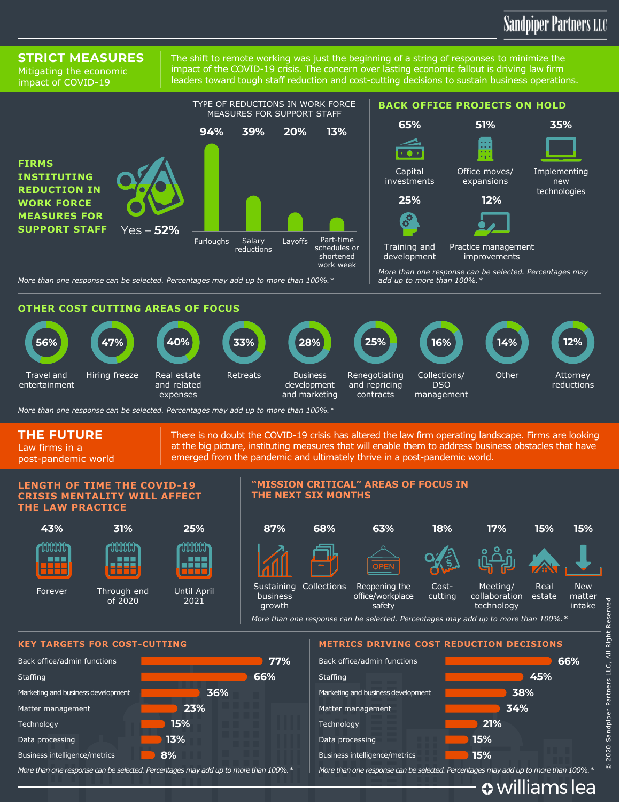## **Sandpiper Partners LLC**

Attorney reductions

**Other** 

### **STRICT MEASURES**

Mitigating the economic impact of COVID-19

The shift to remote working was just the beginning of a string of responses to minimize the impact of the COVID-19 crisis. The concern over lasting economic fallout is driving law firm leaders toward tough staff reduction and cost-cutting decisions to sustain business operations.



**Business** development and marketing

Retreats

*More than one response can be selected. Percentages may add up to more than 100%.\** expenses

Real estate and related

### **THE FUTURE**

Travel and entertainment

Law firms in a post-pandemic world There is no doubt the COVID-19 crisis has altered the law firm operating landscape. Firms are looking at the big picture, instituting measures that will enable them to address business obstacles that have emerged from the pandemic and ultimately thrive in a post-pandemic world.

Renegotiating and repricing contracts

#### **LENGTH OF TIME THE COVID-19 CRISIS MENTALITY WILL AFFECT THE LAW PRACTICE**

Hiring freeze



#### **"MISSION CRITICAL" AREAS OF FOCUS IN THE NEXT SIX MONTHS**



Collections/ DSO management

*More than one response can be selected. Percentages may add up to more than 100%.\**



*More than one response can be selected. Percentages may add up to more than 100%.\**

*More than one response can be selected. Percentages may add up to more than 100%.\**

« williams lea